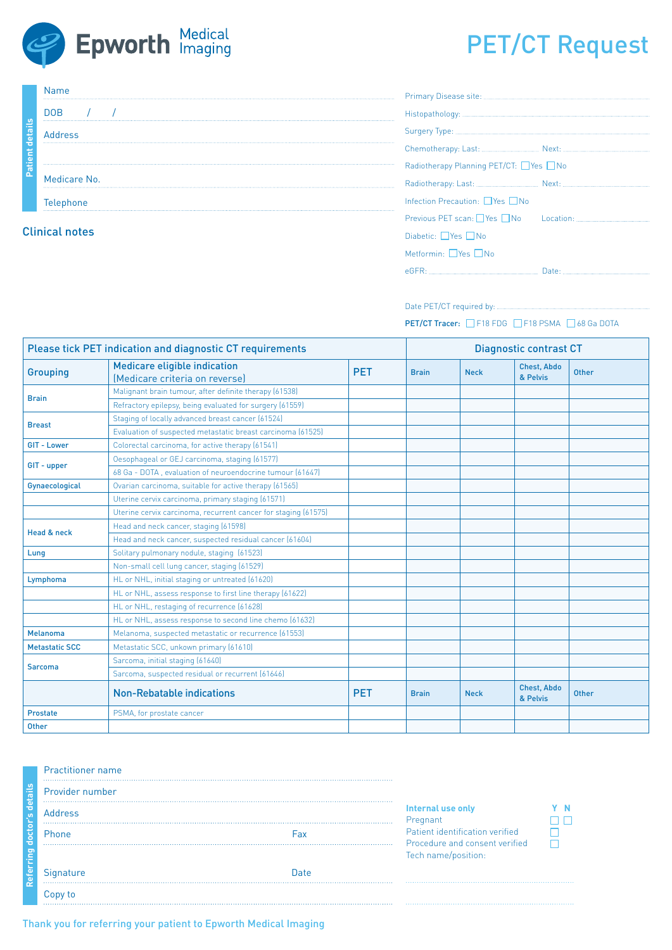

# PET/CT Request

| ഗ<br>$\overline{\phantom{a}}$<br>eta<br>ō<br>$\overline{a}$<br>$\overline{\phantom{0}}$<br>÷<br><b>R</b> | <b>Name</b>           | Pr  |
|----------------------------------------------------------------------------------------------------------|-----------------------|-----|
|                                                                                                          | <b>DOB</b>            | His |
|                                                                                                          | <b>Address</b>        | c., |
|                                                                                                          |                       | Сh  |
|                                                                                                          |                       | Ra  |
|                                                                                                          | Medicare No.          | Ra  |
|                                                                                                          | Telephone             | Inf |
|                                                                                                          |                       | Рn  |
|                                                                                                          | <b>Clinical notes</b> | Dis |

| Radiotherapy Planning PET/CT: PYes DNo |  |  |  |  |
|----------------------------------------|--|--|--|--|
|                                        |  |  |  |  |
| Infection Precaution: □ Yes □ No       |  |  |  |  |
|                                        |  |  |  |  |
| Diabetic: $\Box$ Yes $\Box$ No         |  |  |  |  |
| Metformin: $\Box$ Yes $\Box$ No        |  |  |  |  |
|                                        |  |  |  |  |

Date PET/CT required by:

PET/CT Tracer: □ F18 FDG □ F18 PSMA □ 68 Ga DOTA

| <b>Please tick PET indication and diagnostic CT requirements</b> |                                                                |            |              | <b>Diagnostic contrast CT</b> |                                |              |  |
|------------------------------------------------------------------|----------------------------------------------------------------|------------|--------------|-------------------------------|--------------------------------|--------------|--|
| <b>Grouping</b>                                                  | Medicare eligible indication<br>(Medicare criteria on reverse) | <b>PET</b> | <b>Brain</b> | <b>Neck</b>                   | <b>Chest, Abdo</b><br>& Pelvis | <b>Other</b> |  |
| <b>Brain</b>                                                     | Malignant brain tumour, after definite therapy (61538)         |            |              |                               |                                |              |  |
|                                                                  | Refractory epilepsy, being evaluated for surgery (61559)       |            |              |                               |                                |              |  |
| <b>Breast</b>                                                    | Staging of locally advanced breast cancer (61524)              |            |              |                               |                                |              |  |
|                                                                  | Evaluation of suspected metastatic breast carcinoma (61525)    |            |              |                               |                                |              |  |
| <b>GIT - Lower</b>                                               | Colorectal carcinoma, for active therapy (61541)               |            |              |                               |                                |              |  |
| GIT - upper                                                      | Oesophageal or GEJ carcinoma, staging (61577)                  |            |              |                               |                                |              |  |
|                                                                  | 68 Ga - DOTA, evaluation of neuroendocrine tumour (61647)      |            |              |                               |                                |              |  |
| Gynaecological                                                   | Ovarian carcinoma, suitable for active therapy (61565)         |            |              |                               |                                |              |  |
|                                                                  | Uterine cervix carcinoma, primary staging (61571)              |            |              |                               |                                |              |  |
|                                                                  | Uterine cervix carcinoma, recurrent cancer for staging (61575) |            |              |                               |                                |              |  |
| Head & neck                                                      | Head and neck cancer, staging (61598)                          |            |              |                               |                                |              |  |
|                                                                  | Head and neck cancer, suspected residual cancer (61604)        |            |              |                               |                                |              |  |
| Lung                                                             | Solitary pulmonary nodule, staging (61523)                     |            |              |                               |                                |              |  |
|                                                                  | Non-small cell lung cancer, staging (61529)                    |            |              |                               |                                |              |  |
| Lymphoma                                                         | HL or NHL, initial staging or untreated (61620)                |            |              |                               |                                |              |  |
|                                                                  | HL or NHL, assess response to first line therapy (61622)       |            |              |                               |                                |              |  |
|                                                                  | HL or NHL, restaging of recurrence (61628)                     |            |              |                               |                                |              |  |
|                                                                  | HL or NHL, assess response to second line chemo (61632)        |            |              |                               |                                |              |  |
| <b>Melanoma</b>                                                  | Melanoma, suspected metastatic or recurrence (61553)           |            |              |                               |                                |              |  |
| <b>Metastatic SCC</b>                                            | Metastatic SCC, unkown primary (61610)                         |            |              |                               |                                |              |  |
| <b>Sarcoma</b>                                                   | Sarcoma, initial staging (61640)                               |            |              |                               |                                |              |  |
|                                                                  | Sarcoma, suspected residual or recurrent (61646)               |            |              |                               |                                |              |  |
|                                                                  | <b>Non-Rebatable indications</b>                               | <b>PET</b> | <b>Brain</b> | <b>Neck</b>                   | <b>Chest, Abdo</b><br>& Pelvis | <b>Other</b> |  |
| Prostate                                                         | PSMA, for prostate cancer                                      |            |              |                               |                                |              |  |
| <b>Other</b>                                                     |                                                                |            |              |                               |                                |              |  |

### Practitioner name

| details      | Provider number |      |  |
|--------------|-----------------|------|--|
|              | <b>Address</b>  |      |  |
| doctor's     | Phone           | Fax  |  |
| P<br>Referri | Signature<br>   | Date |  |
|              | Copy to         |      |  |

### **Internal use only** Pregnant Patient identification verified .... Procedure and consent verified Tech name/position:

Thank you for referring your patient to Epworth Medical Imaging